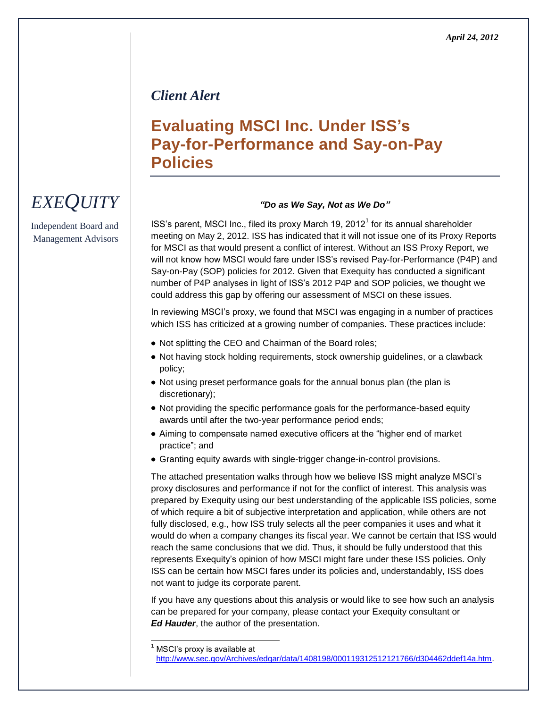### *Client Alert*

## **Evaluating MSCI Inc. Under ISS's Pay-for-Performance and Say-on-Pay Policies**

#### *"Do as We Say, Not as We Do"*

ISS's parent, MSCI Inc., filed its proxy March 19, 2012<sup>1</sup> for its annual shareholder meeting on May 2, 2012. ISS has indicated that it will not issue one of its Proxy Reports for MSCI as that would present a conflict of interest. Without an ISS Proxy Report, we will not know how MSCI would fare under ISS's revised Pay-for-Performance (P4P) and Say-on-Pay (SOP) policies for 2012. Given that Exequity has conducted a significant number of P4P analyses in light of ISS's 2012 P4P and SOP policies, we thought we could address this gap by offering our assessment of MSCI on these issues.

In reviewing MSCI's proxy, we found that MSCI was engaging in a number of practices which ISS has criticized at a growing number of companies. These practices include:

- Not splitting the CEO and Chairman of the Board roles;
- Not having stock holding requirements, stock ownership guidelines, or a clawback policy;
- Not using preset performance goals for the annual bonus plan (the plan is discretionary);
- Not providing the specific performance goals for the performance-based equity awards until after the two-year performance period ends;
- Aiming to compensate named executive officers at the "higher end of market" practice"; and
- Granting equity awards with single-trigger change-in-control provisions.

The attached presentation walks through how we believe ISS might analyze MSCI's proxy disclosures and performance if not for the conflict of interest. This analysis was prepared by Exequity using our best understanding of the applicable ISS policies, some of which require a bit of subjective interpretation and application, while others are not fully disclosed, e.g., how ISS truly selects all the peer companies it uses and what it would do when a company changes its fiscal year. We cannot be certain that ISS would reach the same conclusions that we did. Thus, it should be fully understood that this represents Exequity's opinion of how MSCI might fare under these ISS policies. Only ISS can be certain how MSCI fares under its policies and, understandably, ISS does not want to judge its corporate parent.

If you have any questions about this analysis or would like to see how such an analysis can be prepared for your company, please contact your Exequity consultant or *Ed Hauder*, the author of the presentation.

MSCI's proxy is available at

l

# *EXEQUITY*

Independent Board and Management Advisors

[http://www.sec.gov/Archives/edgar/data/1408198/000119312512121766/d304462ddef14a.htm.](http://www.sec.gov/Archives/edgar/data/1408198/000119312512121766/d304462ddef14a.htm)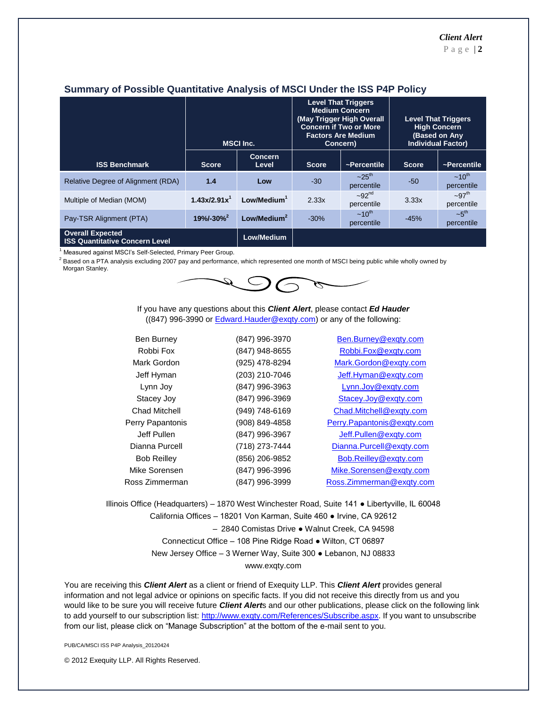|                                                                  | <b>MSCI Inc.</b>         |                         |              | <b>Level That Triggers</b><br><b>Medium Concern</b><br>(May Trigger High Overall<br><b>Concern if Two or More</b><br><b>Factors Are Medium</b><br>Concern) | <b>Level That Triggers</b><br><b>High Concern</b><br><b>(Based on Any</b><br><b>Individual Factor)</b> |                                   |
|------------------------------------------------------------------|--------------------------|-------------------------|--------------|------------------------------------------------------------------------------------------------------------------------------------------------------------|--------------------------------------------------------------------------------------------------------|-----------------------------------|
| <b>ISS Benchmark</b>                                             | <b>Score</b>             | <b>Concern</b><br>Level | <b>Score</b> | ~Percentile                                                                                                                                                | <b>Score</b>                                                                                           | ~Percentile                       |
| Relative Degree of Alignment (RDA)                               | 1.4                      | Low                     | $-30$        | $-25$ <sup>th</sup><br>percentile                                                                                                                          | $-50$                                                                                                  | $\sim 10^{th}$<br>percentile      |
| Multiple of Median (MOM)                                         | 1.43x/2.91x <sup>1</sup> | Low/Medium <sup>1</sup> | 2.33x        | $-92nd$<br>percentile                                                                                                                                      | 3.33x                                                                                                  | $-97$ <sup>th</sup><br>percentile |
| Pay-TSR Alignment (PTA)                                          | $19\% - 30\%$            | Low/Medium <sup>2</sup> | $-30%$       | $~10^{th}$<br>percentile                                                                                                                                   | $-45%$                                                                                                 | $-5$ <sup>th</sup><br>percentile  |
| <b>Overall Expected</b><br><b>ISS Quantitative Concern Level</b> |                          | Low/Medium              |              |                                                                                                                                                            |                                                                                                        |                                   |

#### **Summary of Possible Quantitative Analysis of MSCI Under the ISS P4P Policy**

<sup>1</sup> Measured against MSCI's Self-Selected, Primary Peer Group.

 $2$  Based on a PTA analysis excluding 2007 pay and performance, which represented one month of MSCI being public while wholly owned by Morgan Stanley.



If you have any questions about this *Client Alert*, please contact *Ed Hauder* ((847) 996-3990 o[r Edward.Hauder@exqty.com\)](mailto:Edward.Hauder@exqty.com) or any of the following:

| <b>Ben Burney</b>  | (847) 996-3970 | Ben.Burney@exqty.com       |
|--------------------|----------------|----------------------------|
| Robbi Fox          | (847) 948-8655 | Robbi.Fox@exqty.com        |
| Mark Gordon        | (925) 478-8294 | Mark.Gordon@exqty.com      |
| Jeff Hyman         | (203) 210-7046 | Jeff.Hyman@exqty.com       |
| Lynn Joy           | (847) 996-3963 | Lynn.Joy@exqty.com         |
| Stacey Joy         | (847) 996-3969 | Stacey.Joy@exqty.com       |
| Chad Mitchell      | (949) 748-6169 | Chad.Mitchell@exqty.com    |
| Perry Papantonis   | (908) 849-4858 | Perry.Papantonis@exqty.com |
| Jeff Pullen        | (847) 996-3967 | Jeff.Pullen@exqty.com      |
| Dianna Purcell     | (718) 273-7444 | Dianna.Purcell@exqty.com   |
| <b>Bob Reilley</b> | (856) 206-9852 | Bob.Reilley@exqty.com      |
| Mike Sorensen      | (847) 996-3996 | Mike.Sorensen@exqty.com    |
| Ross Zimmerman     | (847) 996-3999 | Ross.Zimmerman@exgty.com   |

Illinois Office (Headquarters) – 1870 West Winchester Road, Suite 141 ● Libertyville, IL 60048 California Offices – 18201 Von Karman, Suite 460 ● Irvine, CA 92612 – 2840 Comistas Drive ● Walnut Creek, CA 94598 Connecticut Office – 108 Pine Ridge Road ● Wilton, CT 06897 New Jersey Office – 3 Werner Way, Suite 300 ● Lebanon, NJ 08833 www.exqty.com

You are receiving this *Client Alert* as a client or friend of Exequity LLP. This *Client Alert* provides general information and not legal advice or opinions on specific facts. If you did not receive this directly from us and you would like to be sure you will receive future *Client Alert*s and our other publications, please click on the following link to add yourself to our subscription list: [http://www.exqty.com/References/Subscribe.aspx.](http://www.exqty.com/References/Subscribe.aspx) If you want to unsubscribe from our list, please click on "Manage Subscription" at the bottom of the e-mail sent to you.

PUB/CA/MSCI ISS P4P Analysis\_20120424

© 2012 Exequity LLP. All Rights Reserved.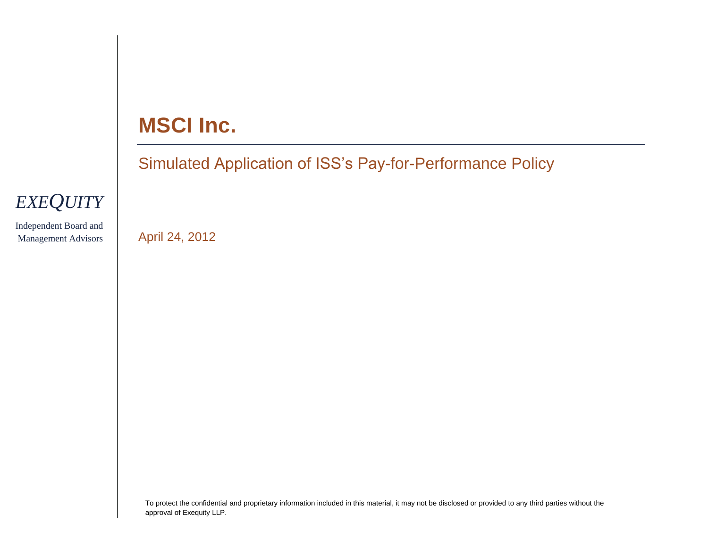# **MSCI Inc.**

Simulated Application of ISS's Pay-for-Performance Policy



Independent Board and Management Advisors

April 24, 2012

To protect the confidential and proprietary information included in this material, it may not be disclosed or provided to any third parties without the approval of Exequity LLP.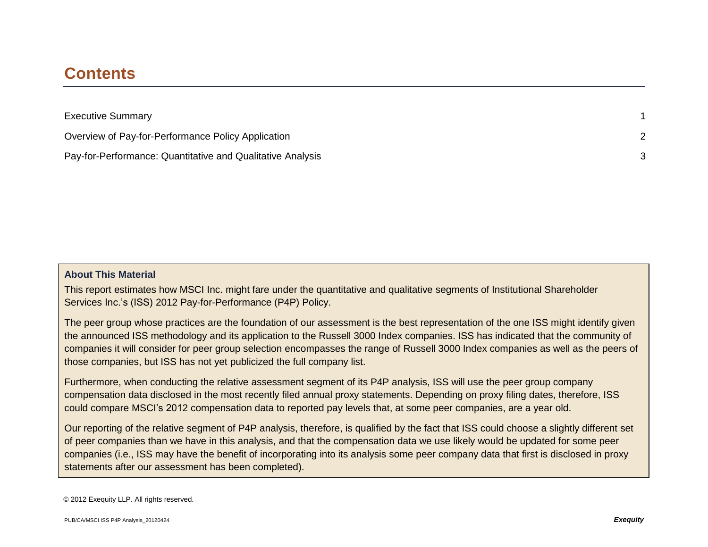### **Contents**

| <b>Executive Summary</b>                                   |  |
|------------------------------------------------------------|--|
| Overview of Pay-for-Performance Policy Application         |  |
| Pay-for-Performance: Quantitative and Qualitative Analysis |  |

#### **About This Material**

This report estimates how MSCI Inc. might fare under the quantitative and qualitative segments of Institutional Shareholder Services Inc.'s (ISS) 2012 Pay-for-Performance (P4P) Policy.

The peer group whose practices are the foundation of our assessment is the best representation of the one ISS might identify given the announced ISS methodology and its application to the Russell 3000 Index companies. ISS has indicated that the community of companies it will consider for peer group selection encompasses the range of Russell 3000 Index companies as well as the peers of those companies, but ISS has not yet publicized the full company list.

Furthermore, when conducting the relative assessment segment of its P4P analysis, ISS will use the peer group company compensation data disclosed in the most recently filed annual proxy statements. Depending on proxy filing dates, therefore, ISS could compare MSCI's 2012 compensation data to reported pay levels that, at some peer companies, are a year old.

Our reporting of the relative segment of P4P analysis, therefore, is qualified by the fact that ISS could choose a slightly different set of peer companies than we have in this analysis, and that the compensation data we use likely would be updated for some peer companies (i.e., ISS may have the benefit of incorporating into its analysis some peer company data that first is disclosed in proxy statements after our assessment has been completed).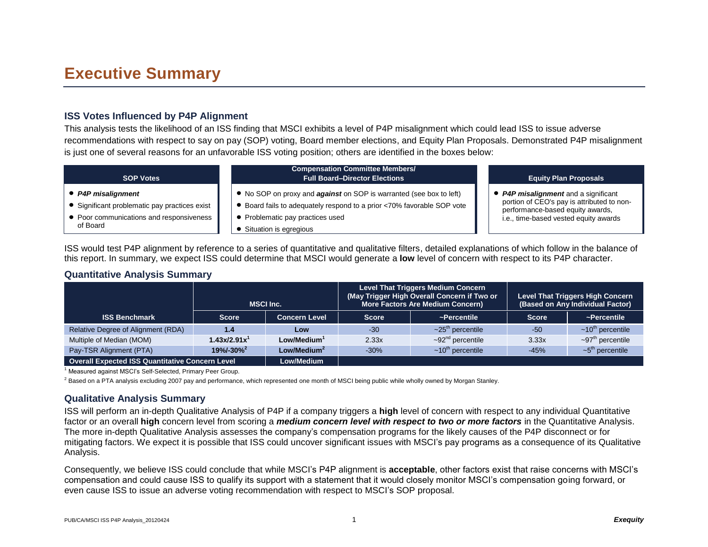### **Executive Summary**

#### **ISS Votes Influenced by P4P Alignment**

This analysis tests the likelihood of an ISS finding that MSCI exhibits a level of P4P misalignment which could lead ISS to issue adverse recommendations with respect to say on pay (SOP) voting, Board member elections, and Equity Plan Proposals. Demonstrated P4P misalignment is just one of several reasons for an unfavorable ISS voting position; others are identified in the boxes below:

| <b>SOP Votes</b>                              | <b>Compensation Committee Members/</b><br><b>Full Board-Director Elections</b> | <b>Equity Plan Proposals</b>               |
|-----------------------------------------------|--------------------------------------------------------------------------------|--------------------------------------------|
| • P4P misalignment                            | • No SOP on proxy and <b>against</b> on SOP is warranted (see box to left)     | <b>P4P misalignment</b> and a significant  |
| • Significant problematic pay practices exist | Board fails to adequately respond to a prior <70% favorable SOP vote           | portion of CEO's pay is attributed to non- |
| • Poor communications and responsiveness      | Problematic pay practices used                                                 | performance-based equity awards,           |
| of Board                                      | Situation is egregious                                                         | i.e., time-based vested equity awards      |

ISS would test P4P alignment by reference to a series of quantitative and qualitative filters, detailed explanations of which follow in the balance of this report. In summary, we expect ISS could determine that MSCI would generate a **low** level of concern with respect to its P4P character.

#### **Quantitative Analysis Summary**

|                                                        | <b>MSCI Inc.</b>           |                         |              | Level That Triggers Medium Concern<br>(May Trigger High Overall Concern if Two or<br><b>More Factors Are Medium Concern)</b> | <b>Level That Triggers High Concern</b><br>(Based on Any Individual Factor) |                                    |
|--------------------------------------------------------|----------------------------|-------------------------|--------------|------------------------------------------------------------------------------------------------------------------------------|-----------------------------------------------------------------------------|------------------------------------|
| <b>ISS Benchmark</b>                                   | <b>Score</b>               | <b>Concern Level</b>    | <b>Score</b> | ~Percentile                                                                                                                  | <b>Score</b>                                                                | ~Percentile                        |
| Relative Degree of Alignment (RDA)                     | 1.4                        | Low                     | $-30$        | $\sim$ 25 <sup>th</sup> percentile                                                                                           | $-50$                                                                       | $\sim$ 10 <sup>th</sup> percentile |
| Multiple of Median (MOM)                               | 1.43x/2.91x <sup>1</sup>   | Low/Medium <sup>1</sup> | 2.33x        | $\sim$ 92 <sup>nd</sup> percentile                                                                                           | 3.33x                                                                       | $\sim$ 97 <sup>th</sup> percentile |
| Pay-TSR Alignment (PTA)                                | $19\% - 30\%$ <sup>2</sup> | Low/Medium <sup>2</sup> |              | $~10^{\text{th}}$ percentile                                                                                                 | $-45%$                                                                      | $-5th$ percentile                  |
| <b>Overall Expected ISS Quantitative Concern Level</b> |                            | Low/Medium              |              |                                                                                                                              |                                                                             |                                    |

<sup>1</sup> Measured against MSCI's Self-Selected, Primary Peer Group.

 $^2$  Based on a PTA analysis excluding 2007 pay and performance, which represented one month of MSCI being public while wholly owned by Morgan Stanley.

#### **Qualitative Analysis Summary**

ISS will perform an in-depth Qualitative Analysis of P4P if a company triggers a **high** level of concern with respect to any individual Quantitative factor or an overall **high** concern level from scoring a *medium concern level with respect to two or more factors* in the Quantitative Analysis. The more in-depth Qualitative Analysis assesses the company's compensation programs for the likely causes of the P4P disconnect or for mitigating factors. We expect it is possible that ISS could uncover significant issues with MSCI's pay programs as a consequence of its Qualitative Analysis.

Consequently, we believe ISS could conclude that while MSCI's P4P alignment is **acceptable**, other factors exist that raise concerns with MSCI's compensation and could cause ISS to qualify its support with a statement that it would closely monitor MSCI's compensation going forward, or even cause ISS to issue an adverse voting recommendation with respect to MSCI's SOP proposal.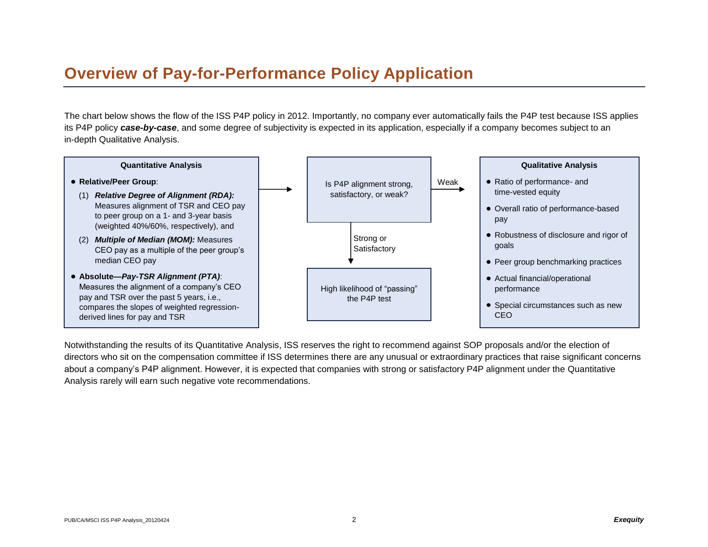## **Overview of Pay-for-Performance Policy Application**

The chart below shows the flow of the ISS P4P policy in 2012. Importantly, no company ever automatically fails the P4P test because ISS applies its P4P policy *case-by-case*, and some degree of subjectivity is expected in its application, especially if a company becomes subject to an in-depth Qualitative Analysis.



Notwithstanding the results of its Quantitative Analysis, ISS reserves the right to recommend against SOP proposals and/or the election of directors who sit on the compensation committee if ISS determines there are any unusual or extraordinary practices that raise significant concerns about a company's P4P alignment. However, it is expected that companies with strong or satisfactory P4P alignment under the Quantitative Analysis rarely will earn such negative vote recommendations.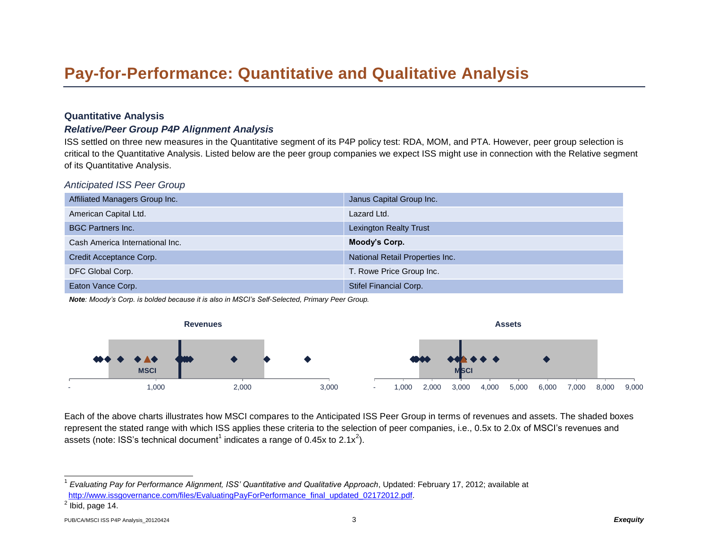## **Pay-for-Performance: Quantitative and Qualitative Analysis**

#### **Quantitative Analysis**

#### *Relative/Peer Group P4P Alignment Analysis*

ISS settled on three new measures in the Quantitative segment of its P4P policy test: RDA, MOM, and PTA. However, peer group selection is critical to the Quantitative Analysis. Listed below are the peer group companies we expect ISS might use in connection with the Relative segment of its Quantitative Analysis.

*Anticipated ISS Peer Group*

| Affiliated Managers Group Inc.  | Janus Capital Group Inc.        |
|---------------------------------|---------------------------------|
| American Capital Ltd.           | Lazard Ltd.                     |
| <b>BGC Partners Inc.</b>        | <b>Lexington Realty Trust</b>   |
| Cash America International Inc. | Moody's Corp.                   |
| Credit Acceptance Corp.         | National Retail Properties Inc. |
| DFC Global Corp.                | T. Rowe Price Group Inc.        |
| Eaton Vance Corp.               | Stifel Financial Corp.          |

*Note: Moody's Corp. is bolded because it is also in MSCI's Self-Selected, Primary Peer Group.*



Each of the above charts illustrates how MSCI compares to the Anticipated ISS Peer Group in terms of revenues and assets. The shaded boxes represent the stated range with which ISS applies these criteria to the selection of peer companies, i.e., 0.5x to 2.0x of MSCI's revenues and assets (note: ISS's technical document<sup>1</sup> indicates a range of 0.45x to 2.1x<sup>2</sup>).

 $\overline{a}$ 

<sup>1</sup> *Evaluating Pay for Performance Alignment, ISS' Quantitative and Qualitative Approach*, Updated: February 17, 2012; available at [http://www.issgovernance.com/files/EvaluatingPayForPerformance\\_final\\_updated\\_02172012.pdf.](http://www.issgovernance.com/files/EvaluatingPayForPerformance_final_updated_02172012.pdf)

 $<sup>2</sup>$  Ibid, page 14.</sup>

PUB/CA/MSCI ISS P4P Analysis\_20120424 3 *Exequity*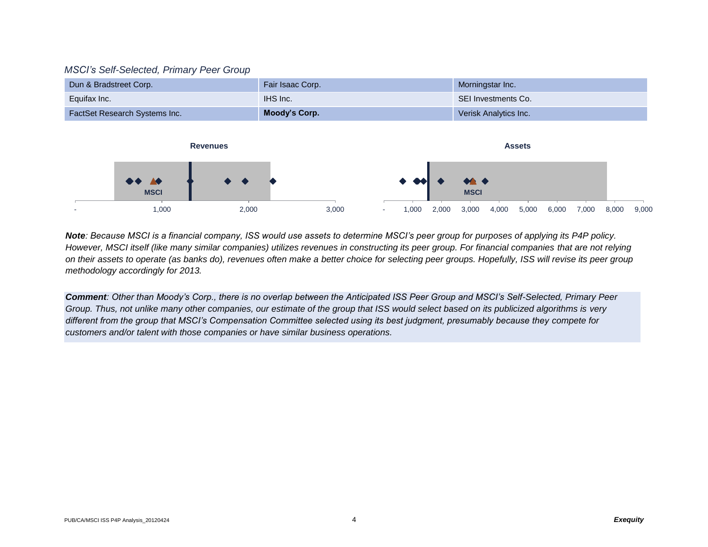#### *MSCI's Self-Selected, Primary Peer Group*

| Dun & Bradstreet Corp.               | Fair Isaac Corp. | Morningstar Inc.             |
|--------------------------------------|------------------|------------------------------|
| Equifax Inc.                         | IHS Inc.         | SEI Investments Co.          |
| <b>FactSet Research Systems Inc.</b> | Moody's Corp.    | <b>Verisk Analytics Inc.</b> |



*Note: Because MSCI is a financial company, ISS would use assets to determine MSCI's peer group for purposes of applying its P4P policy. However, MSCI itself (like many similar companies) utilizes revenues in constructing its peer group. For financial companies that are not relying on their assets to operate (as banks do), revenues often make a better choice for selecting peer groups. Hopefully, ISS will revise its peer group methodology accordingly for 2013.* 

*Comment: Other than Moody's Corp., there is no overlap between the Anticipated ISS Peer Group and MSCI's Self-Selected, Primary Peer Group. Thus, not unlike many other companies, our estimate of the group that ISS would select based on its publicized algorithms is very different from the group that MSCI's Compensation Committee selected using its best judgment, presumably because they compete for customers and/or talent with those companies or have similar business operations.*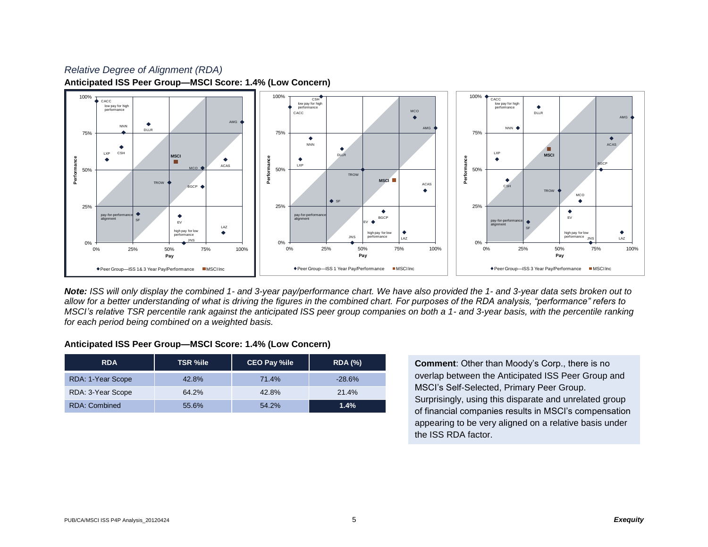### *Relative Degree of Alignment (RDA)* **Anticipated ISS Peer Group—MSCI Score: 1.4% (Low Concern)**



*Note: ISS will only display the combined 1- and 3-year pay/performance chart. We have also provided the 1- and 3-year data sets broken out to allow for a better understanding of what is driving the figures in the combined chart. For purposes of the RDA analysis, "performance" refers to MSCI's relative TSR percentile rank against the anticipated ISS peer group companies on both a 1- and 3-year basis, with the percentile ranking for each period being combined on a weighted basis.*

#### **Anticipated ISS Peer Group—MSCI Score: 1.4% (Low Concern)**

| <b>RDA</b>           | <b>TSR %ile</b> | <b>CEO Pay %ile</b> | <b>RDA (%)</b> |
|----------------------|-----------------|---------------------|----------------|
| RDA: 1-Year Scope    | 42.8%           | 71.4%               | $-28.6%$       |
| RDA: 3-Year Scope    | 64.2%           | 42.8%               | 21.4%          |
| <b>RDA: Combined</b> | 55.6%           | 54.2%               | 1.4%           |

**Comment**: Other than Moody's Corp., there is no overlap between the Anticipated ISS Peer Group and MSCI's Self-Selected, Primary Peer Group. Surprisingly, using this disparate and unrelated group of financial companies results in MSCI's compensation appearing to be very aligned on a relative basis under the ISS RDA factor.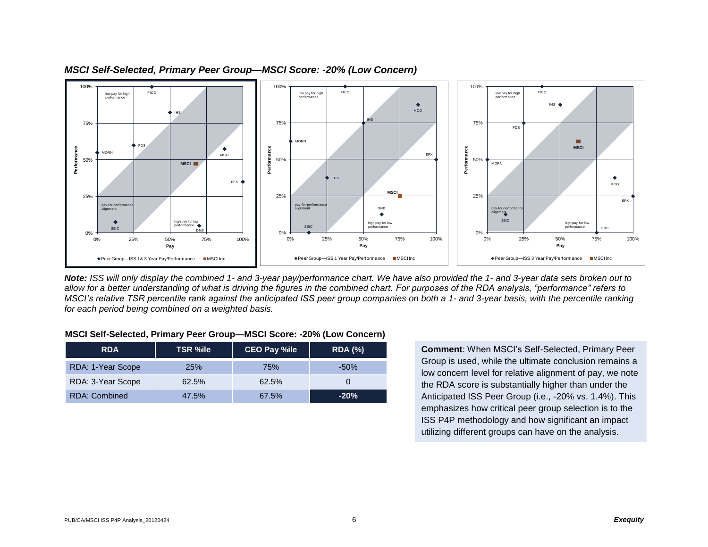

#### *MSCI Self-Selected, Primary Peer Group—MSCI Score: -20% (Low Concern)*

*Note: ISS will only display the combined 1- and 3-year pay/performance chart. We have also provided the 1- and 3-year data sets broken out to allow for a better understanding of what is driving the figures in the combined chart. For purposes of the RDA analysis, "performance" refers to MSCI's relative TSR percentile rank against the anticipated ISS peer group companies on both a 1- and 3-year basis, with the percentile ranking for each period being combined on a weighted basis.*

#### **MSCI Self-Selected, Primary Peer Group—MSCI Score: -20% (Low Concern)**

| <b>RDA</b>           | <b>TSR %ile</b> | <b>CEO Pay %ile</b> | <b>RDA (%)</b> |
|----------------------|-----------------|---------------------|----------------|
| RDA: 1-Year Scope    | <b>25%</b>      | 75%                 | $-50\%$        |
| RDA: 3-Year Scope    | 62.5%           | 62.5%               |                |
| <b>RDA: Combined</b> | 47.5%           | 67.5%               | $-20\%$        |

**Comment**: When MSCI's Self-Selected, Primary Peer Group is used, while the ultimate conclusion remains a low concern level for relative alignment of pay, we note the RDA score is substantially higher than under the Anticipated ISS Peer Group (i.e., -20% vs. 1.4%). This emphasizes how critical peer group selection is to the ISS P4P methodology and how significant an impact utilizing different groups can have on the analysis.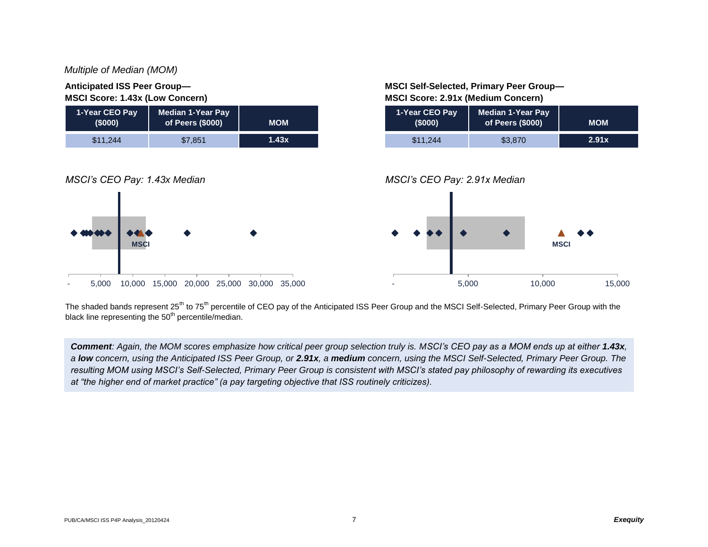#### *Multiple of Median (MOM)*

#### **Anticipated ISS Peer Group— MSCI Score: 1.43x (Low Concern)**



**MSCI Self-Selected, Primary Peer Group— MSCI Score: 2.91x (Medium Concern)**

| 1-Year CEO Pay<br>(5000) | <b>Median 1-Year Pay</b><br>of Peers (\$000) | <b>MOM</b> |
|--------------------------|----------------------------------------------|------------|
| \$11,244                 | \$3,870                                      | 2.91x      |



The shaded bands represent 25<sup>th</sup> to 75<sup>th</sup> percentile of CEO pay of the Anticipated ISS Peer Group and the MSCI Self-Selected, Primary Peer Group with the black line representing the  $50<sup>th</sup>$  percentile/median.

**Comment**: Again, the MOM scores emphasize how critical peer group selection truly is. MSCI's CEO pay as a MOM ends up at either 1.43x, *a low concern, using the Anticipated ISS Peer Group, or 2.91x, a medium concern, using the MSCI Self-Selected, Primary Peer Group. The resulting MOM using MSCI's Self-Selected, Primary Peer Group is consistent with MSCI's stated pay philosophy of rewarding its executives at "the higher end of market practice" (a pay targeting objective that ISS routinely criticizes).*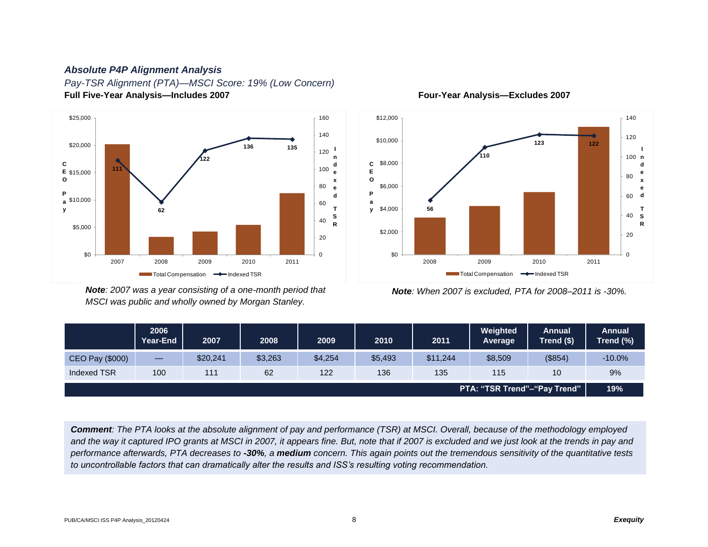#### *Absolute P4P Alignment Analysis*

*Pay-TSR Alignment (PTA)—MSCI Score: 19% (Low Concern)* **Full Five-Year Analysis—Includes 2007 Four-Year Analysis—Excludes 2007**



*Note: 2007 was a year consisting of a one-month period that Note: When 2007 is excluded, PTA for 2008–2011 is -30%. MSCI was public and wholly owned by Morgan Stanley.*



|                 | 2006<br>Year-End               | 2007     | 2008    | 2009    | 2010    | 2011     | Weighted<br>Average          | Annual<br>Trend (\$) | Annual<br>Trend (%) |
|-----------------|--------------------------------|----------|---------|---------|---------|----------|------------------------------|----------------------|---------------------|
| CEO Pay (\$000) | $\qquad \qquad \longleftarrow$ | \$20,241 | \$3,263 | \$4,254 | \$5,493 | \$11,244 | \$8,509                      | (\$854)              | $-10.0%$            |
| Indexed TSR     | 100                            | 111      | 62      | 122     | 136     | 135      | 115                          | 10                   | 9%                  |
|                 |                                |          |         |         |         |          | PTA: "TSR Trend"-"Pay Trend" |                      | 19%                 |

*Comment: The PTA looks at the absolute alignment of pay and performance (TSR) at MSCI. Overall, because of the methodology employed*  and the way it captured IPO grants at MSCI in 2007, it appears fine. But, note that if 2007 is excluded and we just look at the trends in pay and *performance afterwards, PTA decreases to -30%, a medium concern. This again points out the tremendous sensitivity of the quantitative tests to uncontrollable factors that can dramatically alter the results and ISS's resulting voting recommendation.*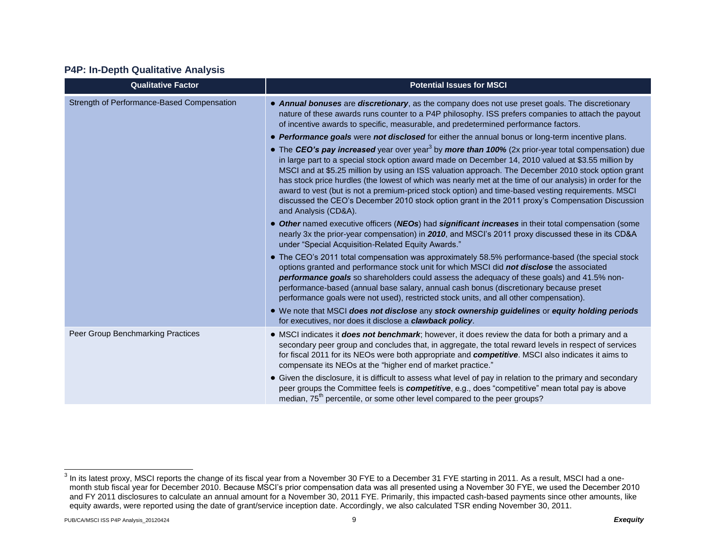#### **P4P: In-Depth Qualitative Analysis**

| <b>Qualitative Factor</b>                  | <b>Potential Issues for MSCI</b>                                                                                                                                                                                                                                                                                                                                                                                                                                                                                                                                                                                                                                                                                                                                                |
|--------------------------------------------|---------------------------------------------------------------------------------------------------------------------------------------------------------------------------------------------------------------------------------------------------------------------------------------------------------------------------------------------------------------------------------------------------------------------------------------------------------------------------------------------------------------------------------------------------------------------------------------------------------------------------------------------------------------------------------------------------------------------------------------------------------------------------------|
| Strength of Performance-Based Compensation | • Annual bonuses are discretionary, as the company does not use preset goals. The discretionary<br>nature of these awards runs counter to a P4P philosophy. ISS prefers companies to attach the payout<br>of incentive awards to specific, measurable, and predetermined performance factors.                                                                                                                                                                                                                                                                                                                                                                                                                                                                                   |
|                                            | • Performance goals were not disclosed for either the annual bonus or long-term incentive plans.<br>• The CEO's pay increased year over year <sup>3</sup> by more than 100% (2x prior-year total compensation) due<br>in large part to a special stock option award made on December 14, 2010 valued at \$3.55 million by<br>MSCI and at \$5.25 million by using an ISS valuation approach. The December 2010 stock option grant<br>has stock price hurdles (the lowest of which was nearly met at the time of our analysis) in order for the<br>award to vest (but is not a premium-priced stock option) and time-based vesting requirements. MSCI<br>discussed the CEO's December 2010 stock option grant in the 2011 proxy's Compensation Discussion<br>and Analysis (CD&A). |
|                                            | • Other named executive officers (NEOs) had significant increases in their total compensation (some<br>nearly 3x the prior-year compensation) in 2010, and MSCI's 2011 proxy discussed these in its CD&A<br>under "Special Acquisition-Related Equity Awards."                                                                                                                                                                                                                                                                                                                                                                                                                                                                                                                  |
|                                            | • The CEO's 2011 total compensation was approximately 58.5% performance-based (the special stock<br>options granted and performance stock unit for which MSCI did not disclose the associated<br>performance goals so shareholders could assess the adequacy of these goals) and 41.5% non-<br>performance-based (annual base salary, annual cash bonus (discretionary because preset<br>performance goals were not used), restricted stock units, and all other compensation).                                                                                                                                                                                                                                                                                                 |
|                                            | . We note that MSCI does not disclose any stock ownership guidelines or equity holding periods<br>for executives, nor does it disclose a <b>clawback policy</b> .                                                                                                                                                                                                                                                                                                                                                                                                                                                                                                                                                                                                               |
| Peer Group Benchmarking Practices          | • MSCI indicates it <b>does not benchmark</b> ; however, it does review the data for both a primary and a<br>secondary peer group and concludes that, in aggregate, the total reward levels in respect of services<br>for fiscal 2011 for its NEOs were both appropriate and competitive. MSCI also indicates it aims to<br>compensate its NEOs at the "higher end of market practice."                                                                                                                                                                                                                                                                                                                                                                                         |
|                                            | • Given the disclosure, it is difficult to assess what level of pay in relation to the primary and secondary<br>peer groups the Committee feels is <i>competitive</i> , e.g., does "competitive" mean total pay is above<br>median, 75 <sup>th</sup> percentile, or some other level compared to the peer groups?                                                                                                                                                                                                                                                                                                                                                                                                                                                               |

 $^3$  In its latest proxy, MSCI reports the change of its fiscal year from a November 30 FYE to a December 31 FYE starting in 2011. As a result, MSCI had a onemonth stub fiscal year for December 2010. Because MSCI's prior compensation data was all presented using a November 30 FYE, we used the December 2010 and FY 2011 disclosures to calculate an annual amount for a November 30, 2011 FYE. Primarily, this impacted cash-based payments since other amounts, like equity awards, were reported using the date of grant/service inception date. Accordingly, we also calculated TSR ending November 30, 2011.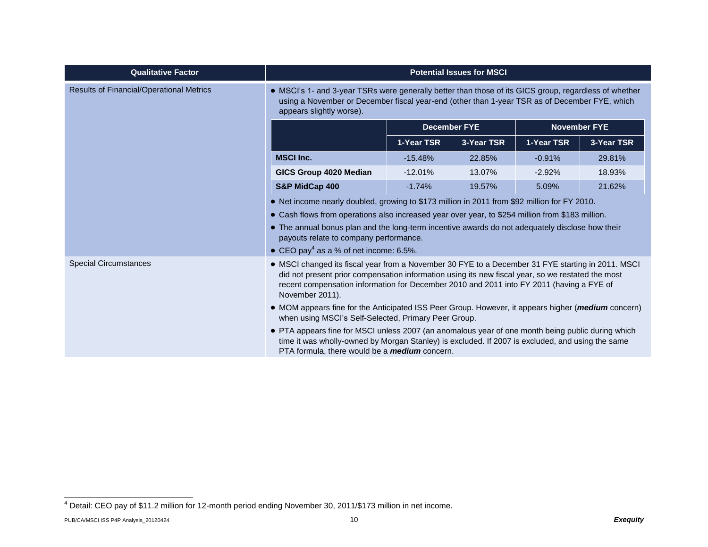| <b>Qualitative Factor</b>                | <b>Potential Issues for MSCI</b>                                                                                                                                                                                                                                                                                                                                                                                                                                                                                                                                                                                                                                                                                                                             |                     |            |                     |            |
|------------------------------------------|--------------------------------------------------------------------------------------------------------------------------------------------------------------------------------------------------------------------------------------------------------------------------------------------------------------------------------------------------------------------------------------------------------------------------------------------------------------------------------------------------------------------------------------------------------------------------------------------------------------------------------------------------------------------------------------------------------------------------------------------------------------|---------------------|------------|---------------------|------------|
| Results of Financial/Operational Metrics | • MSCI's 1- and 3-year TSRs were generally better than those of its GICS group, regardless of whether<br>using a November or December fiscal year-end (other than 1-year TSR as of December FYE, which<br>appears slightly worse).                                                                                                                                                                                                                                                                                                                                                                                                                                                                                                                           |                     |            |                     |            |
|                                          |                                                                                                                                                                                                                                                                                                                                                                                                                                                                                                                                                                                                                                                                                                                                                              | <b>December FYE</b> |            | <b>November FYE</b> |            |
|                                          |                                                                                                                                                                                                                                                                                                                                                                                                                                                                                                                                                                                                                                                                                                                                                              | 1-Year TSR          | 3-Year TSR | 1-Year TSR          | 3-Year TSR |
|                                          | <b>MSCI Inc.</b>                                                                                                                                                                                                                                                                                                                                                                                                                                                                                                                                                                                                                                                                                                                                             | $-15.48%$           | 22.85%     | $-0.91%$            | 29.81%     |
|                                          | GICS Group 4020 Median                                                                                                                                                                                                                                                                                                                                                                                                                                                                                                                                                                                                                                                                                                                                       | $-12.01%$           | 13.07%     | $-2.92%$            | 18.93%     |
|                                          | S&P MidCap 400                                                                                                                                                                                                                                                                                                                                                                                                                                                                                                                                                                                                                                                                                                                                               | $-1.74%$            | 19.57%     | 5.09%               | 21.62%     |
|                                          | • Net income nearly doubled, growing to \$173 million in 2011 from \$92 million for FY 2010.<br>• Cash flows from operations also increased year over year, to \$254 million from \$183 million.<br>• The annual bonus plan and the long-term incentive awards do not adequately disclose how their<br>payouts relate to company performance.<br>• CEO pay <sup>4</sup> as a % of net income: 6.5%.                                                                                                                                                                                                                                                                                                                                                          |                     |            |                     |            |
| <b>Special Circumstances</b>             | • MSCI changed its fiscal year from a November 30 FYE to a December 31 FYE starting in 2011. MSCI<br>did not present prior compensation information using its new fiscal year, so we restated the most<br>recent compensation information for December 2010 and 2011 into FY 2011 (having a FYE of<br>November 2011).<br>• MOM appears fine for the Anticipated ISS Peer Group. However, it appears higher ( <i>medium</i> concern)<br>when using MSCI's Self-Selected, Primary Peer Group.<br>• PTA appears fine for MSCI unless 2007 (an anomalous year of one month being public during which<br>time it was wholly-owned by Morgan Stanley) is excluded. If 2007 is excluded, and using the same<br>PTA formula, there would be a <i>medium</i> concern. |                     |            |                     |            |

l

 $^4$  Detail: CEO pay of \$11.2 million for 12-month period ending November 30, 2011/\$173 million in net income.

PUB/CA/MSCI ISS P4P Analysis\_20120424 **Exequity** 10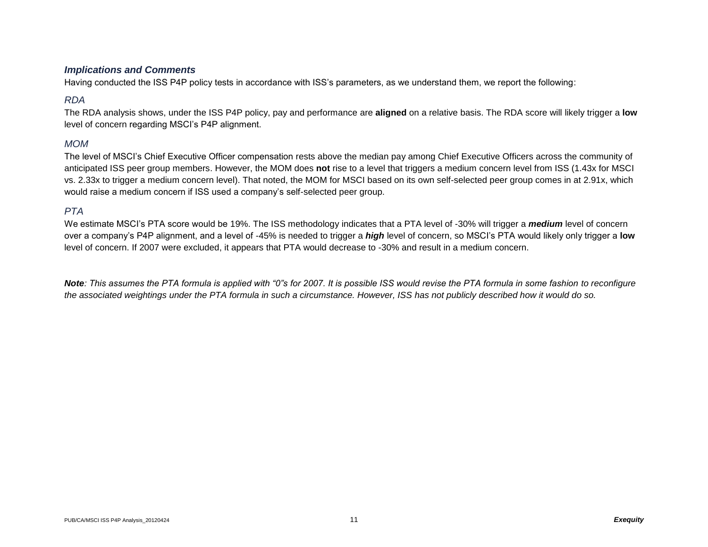#### *Implications and Comments*

Having conducted the ISS P4P policy tests in accordance with ISS's parameters, as we understand them, we report the following:

### *RDA*

The RDA analysis shows, under the ISS P4P policy, pay and performance are **aligned** on a relative basis. The RDA score will likely trigger a **low**  level of concern regarding MSCI's P4P alignment.

### *MOM*

The level of MSCI's Chief Executive Officer compensation rests above the median pay among Chief Executive Officers across the community of anticipated ISS peer group members. However, the MOM does **not** rise to a level that triggers a medium concern level from ISS (1.43x for MSCI vs. 2.33x to trigger a medium concern level). That noted, the MOM for MSCI based on its own self-selected peer group comes in at 2.91x, which would raise a medium concern if ISS used a company's self-selected peer group.

#### *PTA*

We estimate MSCI's PTA score would be 19%. The ISS methodology indicates that a PTA level of -30% will trigger a *medium* level of concern over a company's P4P alignment, and a level of -45% is needed to trigger a *high* level of concern, so MSCI's PTA would likely only trigger a **low** level of concern. If 2007 were excluded, it appears that PTA would decrease to -30% and result in a medium concern.

*Note: This assumes the PTA formula is applied with "0"s for 2007. It is possible ISS would revise the PTA formula in some fashion to reconfigure the associated weightings under the PTA formula in such a circumstance. However, ISS has not publicly described how it would do so.*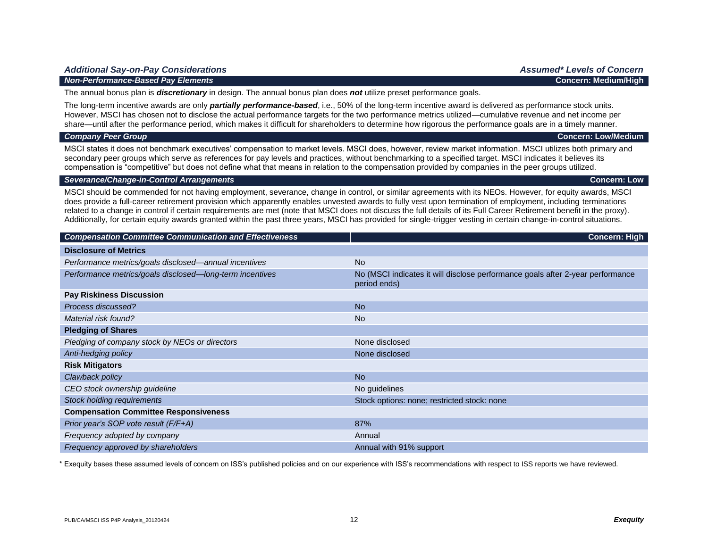#### *Non-Performance-Based Pay Elements* **Concern: Medium/High**

The annual bonus plan is *discretionary* in design. The annual bonus plan does *not* utilize preset performance goals.

The long-term incentive awards are only *partially performance-based*, i.e., 50% of the long-term incentive award is delivered as performance stock units. However, MSCI has chosen not to disclose the actual performance targets for the two performance metrics utilized—cumulative revenue and net income per share—until after the performance period, which makes it difficult for shareholders to determine how rigorous the performance goals are in a timely manner.

#### *Company Peer Group* **Concern: Low/Medium**

MSCI states it does not benchmark executives' compensation to market levels. MSCI does, however, review market information. MSCI utilizes both primary and secondary peer groups which serve as references for pay levels and practices, without benchmarking to a specified target. MSCI indicates it believes its compensation is "competitive" but does not define what that means in relation to the compensation provided by companies in the peer groups utilized.

#### *Severance/Change-in-Control Arrangements* **Concern: Low**

MSCI should be commended for not having employment, severance, change in control, or similar agreements with its NEOs. However, for equity awards, MSCI does provide a full-career retirement provision which apparently enables unvested awards to fully vest upon termination of employment, including terminations related to a change in control if certain requirements are met (note that MSCI does not discuss the full details of its Full Career Retirement benefit in the proxy). Additionally, for certain equity awards granted within the past three years, MSCI has provided for single-trigger vesting in certain change-in-control situations.

| <b>Compensation Committee Communication and Effectiveness</b> | <b>Concern: High</b>                                                                           |
|---------------------------------------------------------------|------------------------------------------------------------------------------------------------|
| <b>Disclosure of Metrics</b>                                  |                                                                                                |
| Performance metrics/goals disclosed—annual incentives         | <b>No</b>                                                                                      |
| Performance metrics/goals disclosed-long-term incentives      | No (MSCI indicates it will disclose performance goals after 2-year performance<br>period ends) |
| <b>Pay Riskiness Discussion</b>                               |                                                                                                |
| Process discussed?                                            | <b>No</b>                                                                                      |
| Material risk found?                                          | N <sub>o</sub>                                                                                 |
| <b>Pledging of Shares</b>                                     |                                                                                                |
| Pledging of company stock by NEOs or directors                | None disclosed                                                                                 |
| Anti-hedging policy                                           | None disclosed                                                                                 |
| <b>Risk Mitigators</b>                                        |                                                                                                |
| Clawback policy                                               | <b>No</b>                                                                                      |
| CEO stock ownership guideline                                 | No guidelines                                                                                  |
| <b>Stock holding requirements</b>                             | Stock options: none; restricted stock: none                                                    |
| <b>Compensation Committee Responsiveness</b>                  |                                                                                                |
| Prior year's SOP vote result (F/F+A)                          | 87%                                                                                            |
| Frequency adopted by company                                  | Annual                                                                                         |
| Frequency approved by shareholders                            | Annual with 91% support                                                                        |

\* Exequity bases these assumed levels of concern on ISS's published policies and on our experience with ISS's recommendations with respect to ISS reports we have reviewed.